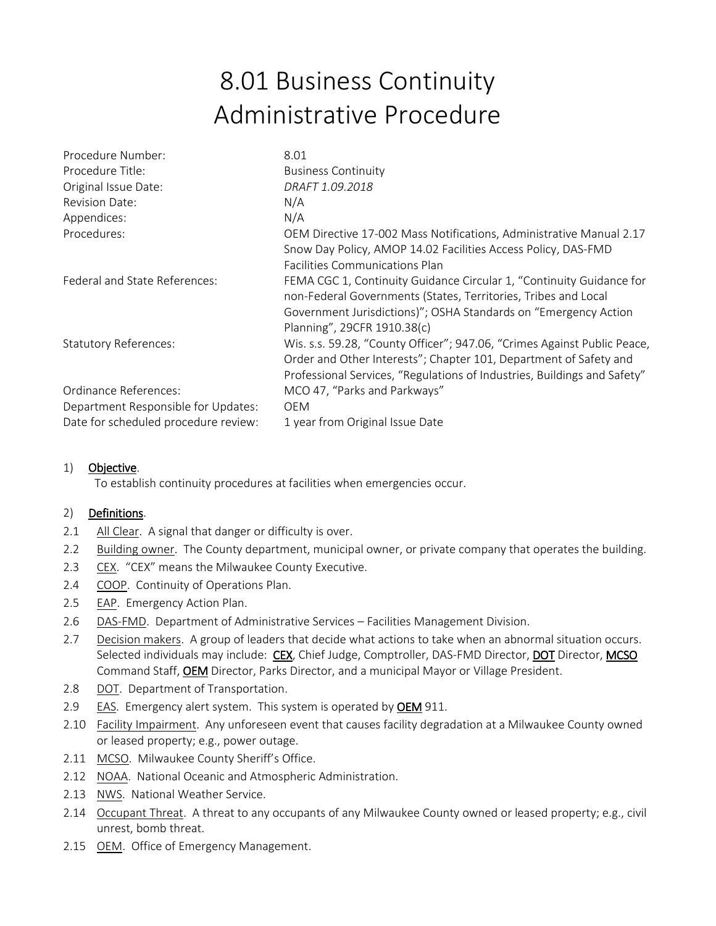## 8.01 Business Continuity Administrative Procedure

| Procedure Number:                    | 8.01                                                                     |
|--------------------------------------|--------------------------------------------------------------------------|
| Procedure Title:                     | <b>Business Continuity</b>                                               |
| Original Issue Date:                 | DRAFT 1.09.2018                                                          |
| <b>Revision Date:</b>                | N/A                                                                      |
| Appendices:                          | N/A                                                                      |
| Procedures:                          | OEM Directive 17-002 Mass Notifications, Administrative Manual 2.17      |
|                                      | Snow Day Policy, AMOP 14.02 Facilities Access Policy, DAS-FMD            |
|                                      | <b>Facilities Communications Plan</b>                                    |
| Federal and State References:        | FEMA CGC 1, Continuity Guidance Circular 1, "Continuity Guidance for     |
|                                      | non-Federal Governments (States, Territories, Tribes and Local           |
|                                      | Government Jurisdictions)"; OSHA Standards on "Emergency Action          |
|                                      | Planning", 29CFR 1910.38(c)                                              |
| <b>Statutory References:</b>         | Wis. s.s. 59.28, "County Officer"; 947.06, "Crimes Against Public Peace, |
|                                      | Order and Other Interests"; Chapter 101, Department of Safety and        |
|                                      | Professional Services, "Regulations of Industries, Buildings and Safety" |
| Ordinance References:                | MCO 47, "Parks and Parkways"                                             |
| Department Responsible for Updates:  | <b>OEM</b>                                                               |
| Date for scheduled procedure review: | 1 year from Original Issue Date                                          |

## 1) Objective.

To establish continuity procedures at facilities when emergencies occur.

## 2) Definitions.

- 2.1 All Clear. A signal that danger or difficulty is over.
- 2.2 Building owner. The County department, municipal owner, or private company that operates the building.
- 2.3 CEX. "CEX" means the Milwaukee County Executive.
- 2.4 COOP. Continuity of Operations Plan.
- 2.5 EAP. Emergency Action Plan.
- 2.6 DAS-FMD. Department of Administrative Services Facilities Management Division.
- 2.7 Decision makers. A group of leaders that decide what actions to take when an abnormal situation occurs. Selected individuals may include: CEX, Chief Judge, Comptroller, DAS-FMD Director, DOT Director, MCSO Command Staff, **OEM** Director, Parks Director, and a municipal Mayor or Village President.
- 2.8 DOT. Department of Transportation.
- 2.9 EAS. Emergency alert system. This system is operated by OEM 911.
- 2.10 Facility Impairment. Any unforeseen event that causes facility degradation at a Milwaukee County owned or leased property; e.g., power outage.
- 2.11 MCSO. Milwaukee County Sheriff's Office.
- 2.12 NOAA. National Oceanic and Atmospheric Administration.
- 2.13 NWS. National Weather Service.
- 2.14 Occupant Threat. A threat to any occupants of any Milwaukee County owned or leased property; e.g., civil unrest, bomb threat.
- 2.15 OEM. Office of Emergency Management.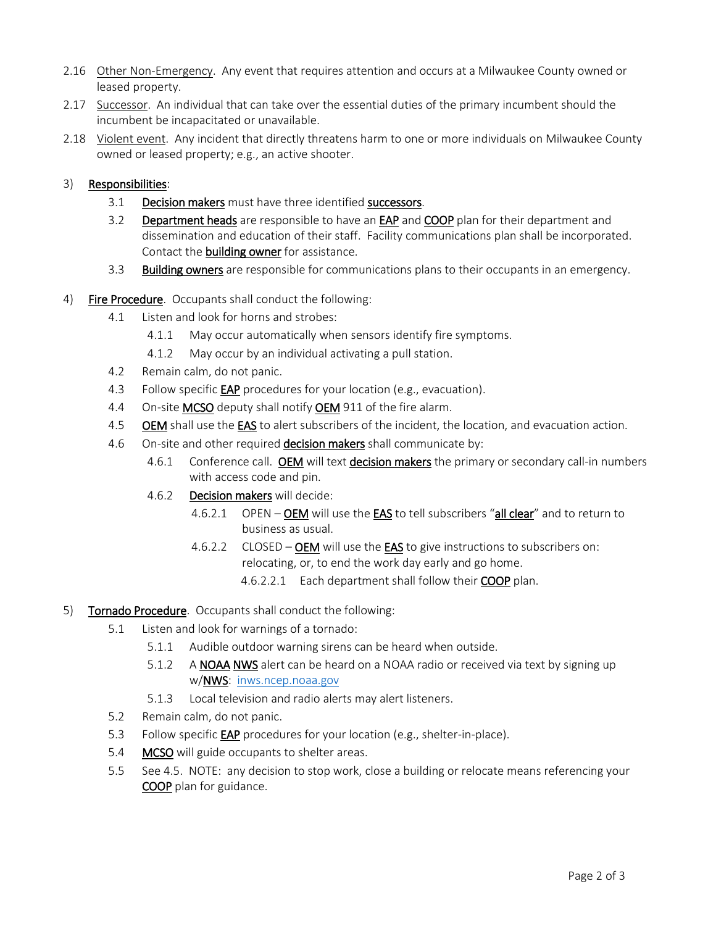- 2.16 Other Non-Emergency. Any event that requires attention and occurs at a Milwaukee County owned or leased property.
- 2.17 Successor. An individual that can take over the essential duties of the primary incumbent should the incumbent be incapacitated or unavailable.
- 2.18 Violent event. Any incident that directly threatens harm to one or more individuals on Milwaukee County owned or leased property; e.g., an active shooter.

## 3) Responsibilities:

- 3.1 Decision makers must have three identified successors.
- 3.2 Department heads are responsible to have an EAP and COOP plan for their department and dissemination and education of their staff. Facility communications plan shall be incorporated. Contact the **building owner** for assistance.
- 3.3 Building owners are responsible for communications plans to their occupants in an emergency.
- 4) Fire Procedure. Occupants shall conduct the following:
	- 4.1 Listen and look for horns and strobes:
		- 4.1.1 May occur automatically when sensors identify fire symptoms.
		- 4.1.2 May occur by an individual activating a pull station.
	- 4.2 Remain calm, do not panic.
	- 4.3 Follow specific **EAP** procedures for your location (e.g., evacuation).
	- 4.4 On-site MCSO deputy shall notify OEM 911 of the fire alarm.
	- 4.5 OEM shall use the EAS to alert subscribers of the incident, the location, and evacuation action.
	- 4.6 On-site and other required **decision makers** shall communicate by:
		- 4.6.1 Conference call. OEM will text decision makers the primary or secondary call-in numbers with access code and pin.
		- 4.6.2 Decision makers will decide:
			- 4.6.2.1 OPEN OEM will use the EAS to tell subscribers "all clear" and to return to business as usual.
			- 4.6.2.2 CLOSED OEM will use the EAS to give instructions to subscribers on: relocating, or, to end the work day early and go home.
				- 4.6.2.2.1 Each department shall follow their COOP plan.
- 5) Tornado Procedure. Occupants shall conduct the following:
	- 5.1 Listen and look for warnings of a tornado:
		- 5.1.1 Audible outdoor warning sirens can be heard when outside.
		- 5.1.2 A NOAA NWS alert can be heard on a NOAA radio or received via text by signing up w/NWS: [inws.ncep.noaa.gov](http://inws.ncep.noaa.gov/)
		- 5.1.3 Local television and radio alerts may alert listeners.
	- 5.2 Remain calm, do not panic.
	- 5.3 Follow specific EAP procedures for your location (e.g., shelter-in-place).
	- 5.4 MCSO will guide occupants to shelter areas.
	- 5.5 See 4.5. NOTE: any decision to stop work, close a building or relocate means referencing your COOP plan for guidance.